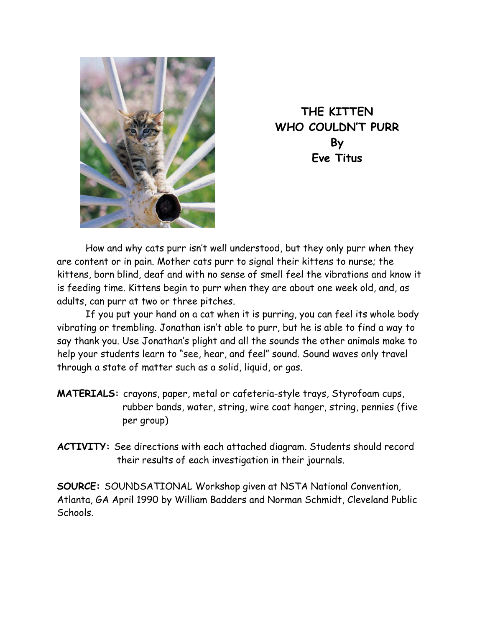

**THE KITTEN WHO COULDN'T PURR By Eve Titus** 

 How and why cats purr isn't well understood, but they only purr when they are content or in pain. Mother cats purr to signal their kittens to nurse; the kittens, born blind, deaf and with no sense of smell feel the vibrations and know it is feeding time. Kittens begin to purr when they are about one week old, and, as adults, can purr at two or three pitches.

 If you put your hand on a cat when it is purring, you can feel its whole body vibrating or trembling. Jonathan isn't able to purr, but he is able to find a way to say thank you. Use Jonathan's plight and all the sounds the other animals make to help your students learn to "see, hear, and feel" sound. Sound waves only travel through a state of matter such as a solid, liquid, or gas.

- **MATERIALS:** crayons, paper, metal or cafeteria-style trays, Styrofoam cups, rubber bands, water, string, wire coat hanger, string, pennies (five per group)
- **ACTIVITY:** See directions with each attached diagram. Students should record their results of each investigation in their journals.

**SOURCE:** SOUNDSATIONAL Workshop given at NSTA National Convention, Atlanta, GA April 1990 by William Badders and Norman Schmidt, Cleveland Public Schools.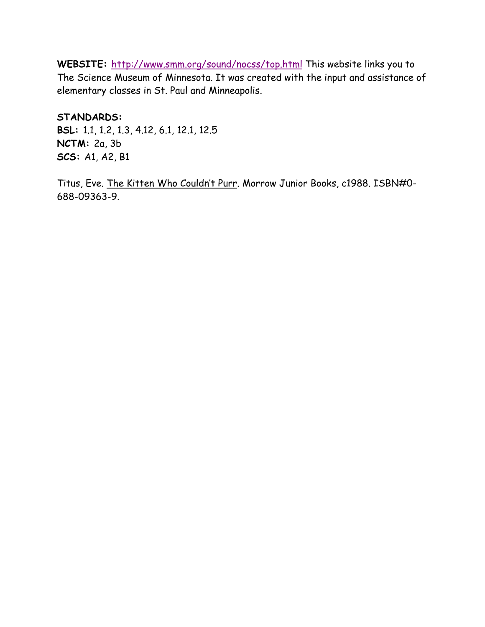WEBSITE: http://www.smm.org/sound/nocss/top.html This website links you to The Science Museum of Minnesota. It was created with the input and assistance of elementary classes in St. Paul and Minneapolis.

**STANDARDS: BSL:** 1.1, 1.2, 1.3, 4.12, 6.1, 12.1, 12.5 **NCTM:** 2a, 3b **SCS:** A1, A2, B1

Titus, Eve. The Kitten Who Couldn't Purr. Morrow Junior Books, c1988. ISBN#0- 688-09363-9.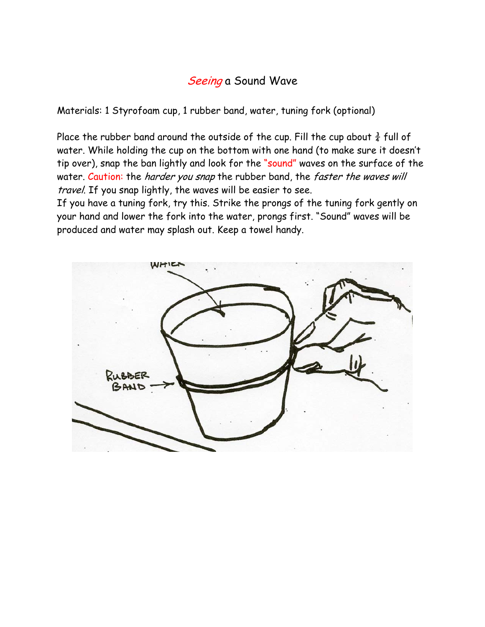## Seeing a Sound Wave

Materials: 1 Styrofoam cup, 1 rubber band, water, tuning fork (optional)

Place the rubber band around the outside of the cup. Fill the cup about  $\frac{3}{4}$  full of water. While holding the cup on the bottom with one hand (to make sure it doesn't tip over), snap the ban lightly and look for the "sound" waves on the surface of the water. Caution: the harder you snap the rubber band, the faster the waves will travel. If you snap lightly, the waves will be easier to see.

If you have a tuning fork, try this. Strike the prongs of the tuning fork gently on your hand and lower the fork into the water, prongs first. "Sound" waves will be produced and water may splash out. Keep a towel handy.

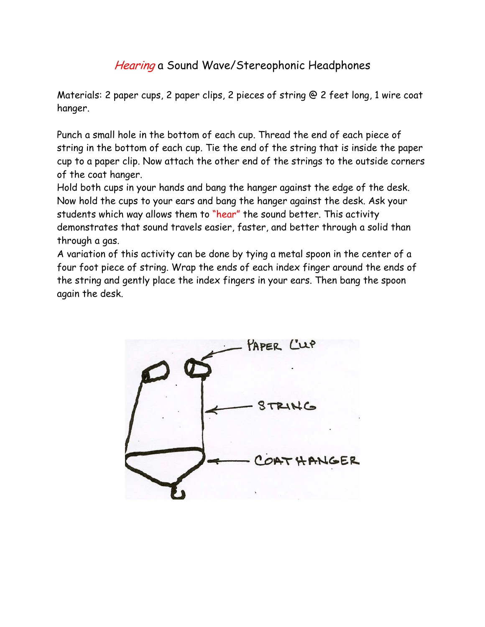## Hearing a Sound Wave/Stereophonic Headphones

Materials: 2 paper cups, 2 paper clips, 2 pieces of string @ 2 feet long, 1 wire coat hanger.

Punch a small hole in the bottom of each cup. Thread the end of each piece of string in the bottom of each cup. Tie the end of the string that is inside the paper cup to a paper clip. Now attach the other end of the strings to the outside corners of the coat hanger.

Hold both cups in your hands and bang the hanger against the edge of the desk. Now hold the cups to your ears and bang the hanger against the desk. Ask your students which way allows them to "hear" the sound better. This activity demonstrates that sound travels easier, faster, and better through a solid than through a gas.

A variation of this activity can be done by tying a metal spoon in the center of a four foot piece of string. Wrap the ends of each index finger around the ends of the string and gently place the index fingers in your ears. Then bang the spoon again the desk.

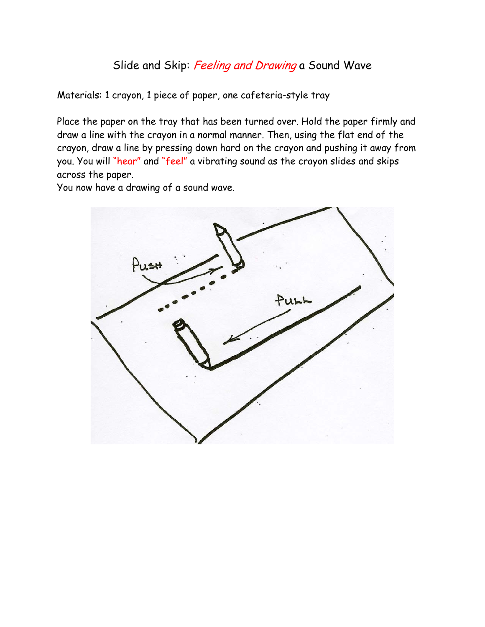## Slide and Skip: Feeling and Drawing a Sound Wave

Materials: 1 crayon, 1 piece of paper, one cafeteria-style tray

Place the paper on the tray that has been turned over. Hold the paper firmly and draw a line with the crayon in a normal manner. Then, using the flat end of the crayon, draw a line by pressing down hard on the crayon and pushing it away from you. You will "hear" and "feel" a vibrating sound as the crayon slides and skips across the paper.

You now have a drawing of a sound wave.